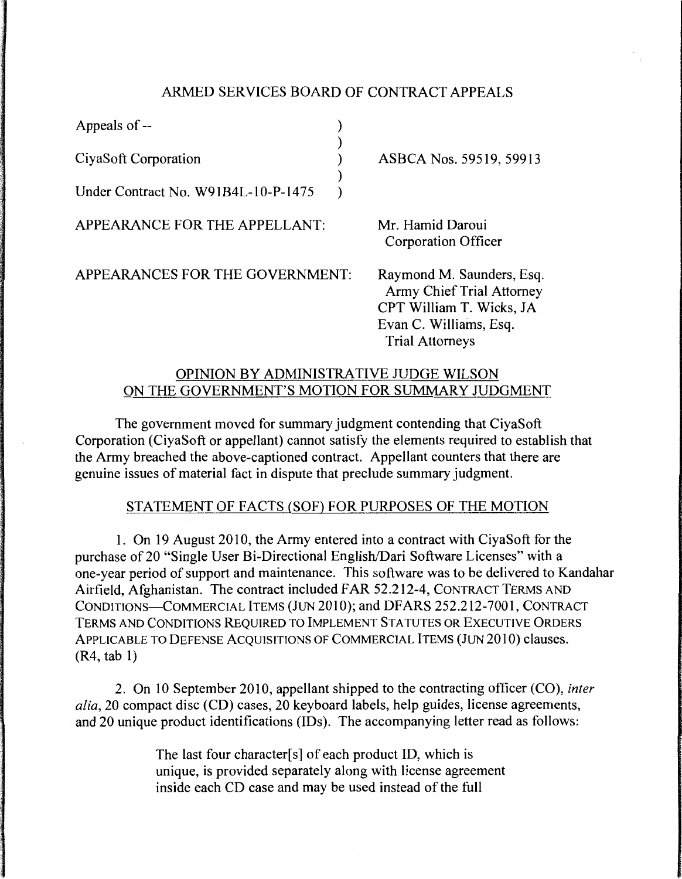### ARMED SERVICES BOARD OF CONTRACT APPEALS

| Appeals of --                       |                                                                                                                                               |
|-------------------------------------|-----------------------------------------------------------------------------------------------------------------------------------------------|
| CiyaSoft Corporation                | ASBCA Nos. 59519, 59913                                                                                                                       |
| Under Contract No. W91B4L-10-P-1475 |                                                                                                                                               |
| APPEARANCE FOR THE APPELLANT:       | Mr. Hamid Daroui<br>Corporation Officer                                                                                                       |
| APPEARANCES FOR THE GOVERNMENT:     | Raymond M. Saunders, Esq.<br><b>Army Chief Trial Attorney</b><br>CPT William T. Wicks, JA<br>Evan C. Williams, Esq.<br><b>Trial Attorneys</b> |

## OPINION BY ADMINISTRATIVE JUDGE WILSON ON THE GOVERNMENT'S MOTION FOR SUMMARY JUDGMENT

The government moved for summary judgment contending that CiyaSoft Corporation (CiyaSoft or appellant) cannot satisfy the elements required to establish that the Army breached the above-captioned contract. Appellant counters that there are genuine issues of material fact in dispute that preclude summary judgment.

# STATEMENT OF FACTS (SOF) FOR PURPOSES OF THE MOTION

1. On 19 August 2010, the Army entered into a contract with CiyaSoft for the purchase of 20 "Single User Bi-Directional English/Dari Software Licenses" with a one-year period of support and maintenance. This software was to be delivered to Kandahar Airfield, Afghanistan. The contract included FAR 52.212-4, CONTRACT TERMS AND CONDITIONS-COMMERCIAL ITEMS (JUN 2010); and DFARS 252.212-7001, CONTRACT TERMS AND CONDITIONS REQUIRED TO IMPLEMENT STATUTES OR EXECUTIVE ORDERS APPLICABLE TO DEFENSE ACQUISITIONS OF COMMERCIAL ITEMS (JUN 2010) clauses. (R4, tab 1)

2. On 10 September 2010, appellant shipped to the contracting officer (CO), *inter alia,* 20 compact disc (CD) cases, 20 keyboard labels, help guides, license agreements, and 20 unique product identifications (IDs). The accompanying letter read as follows:

> The last four character[s] of each product ID, which is unique, is provided separately along with license agreement inside each CD case and may be used instead of the full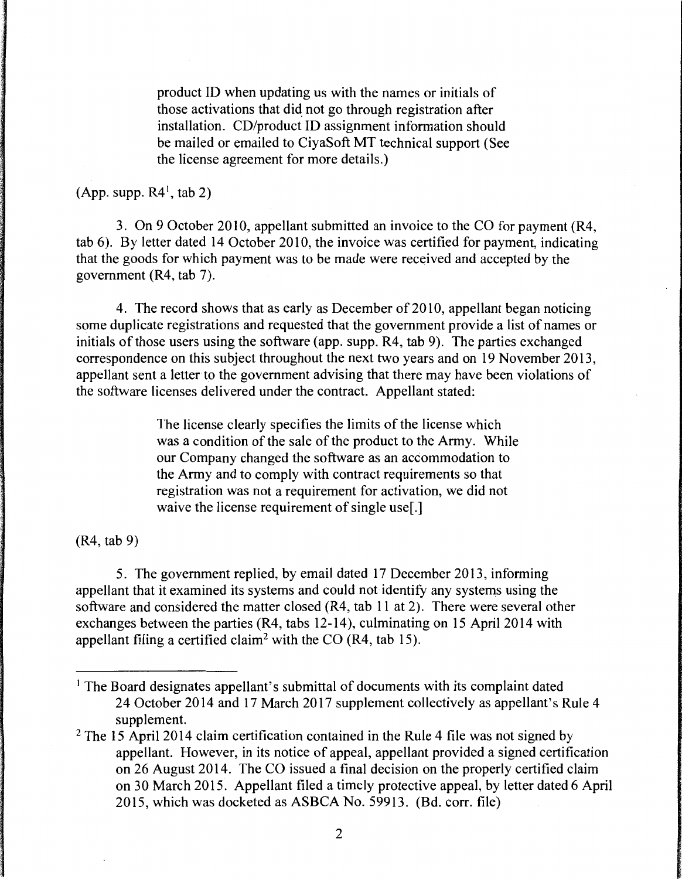product ID when updating us with the names or initials of those activations that did not go through registration after installation. CD/product ID assignment information should be mailed or emailed to CiyaSoft MT technical support (See the license agreement for more details.)

 $(App. supp. R4<sup>1</sup>, tab 2)$ 

3. On 9 October 2010, appellant submitted an invoice to the CO for payment (R4, tab 6). By letter dated 14 October 2010, the invoice was certified for payment, indicating that the goods for which payment was to be made were received and accepted by the government (R4, tab 7).

4. The record shows that as early as December of 2010, appellant began noticing some duplicate registrations and requested that the government provide a list of names or initials of those users using the software (app. supp. R4, tab 9). The parties exchanged correspondence on this subject throughout the next two years and on 19 November 2013, appellant sent a letter to the government advising that there may have been violations of the software licenses delivered under the contract. Appellant stated:

> The license clearly specifies the limits of the license which was a condition of the sale of the product to the Army. While our Company changed the software as an accommodation to the Army and to comply with contract requirements so that registration was not a requirement for activation, we did not waive the license requirement of single use[.]

(R4, tab 9)

5. The government replied, by email dated 17 December 2013, informing appellant that it examined its systems and could not identify any systems using the software and considered the matter closed (R4, tab 11 at 2). There were several other exchanges between the parties (R4, tabs 12-14), culminating on 15 April 2014 with appellant filing a certified claim<sup>2</sup> with the CO (R4, tab 15).

<sup>&</sup>lt;sup>1</sup> The Board designates appellant's submittal of documents with its complaint dated 24 October 2014 and 17 March 2017 supplement collectively as appellant's Rule 4 supplement.

 $2$  The 15 April 2014 claim certification contained in the Rule 4 file was not signed by appellant. However, in its notice of appeal, appellant provided a signed certification on 26 August 2014. The CO issued a final decision on the properly certified claim on 30 March 2015. Appellant filed a timely protective appeal, by letter dated 6 April 2015, which was docketed as ASBCA No. 59913. (Bd. corr. file)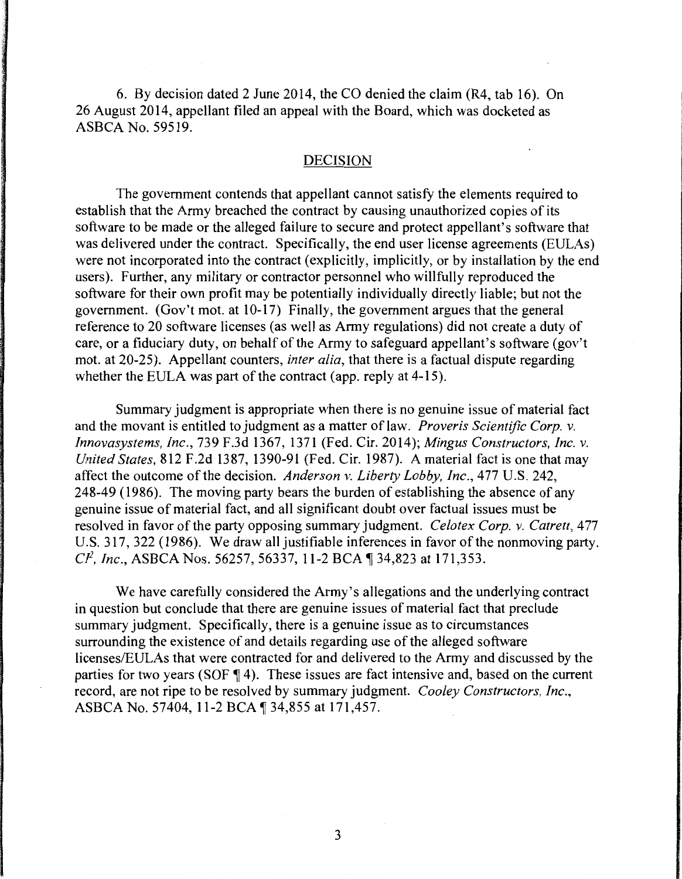6. By decision dated 2 June 2014, the CO denied the claim (R4, tab 16). On 26 August 2014, appellant filed an appeal with the Board, which was docketed as ASBCA No. 59519.

#### DECISION

The government contends that appellant cannot satisfy the elements required to establish that the Army breached the contract by causing unauthorized copies of its software to be made or the alleged failure to secure and protect appellant's software that was delivered under the contract. Specifically, the end user license agreements (EULAs) were not incorporated into the contract (explicitly, implicitly, or by installation by the end users). Further, any military or contractor personnel who willfully reproduced the software for their own profit may be potentially individually directly liable; but not the government. (Gov't mot. at 10-17) Finally, the government argues that the general reference to 20 software licenses (as well as Army regulations) did not create a duty of care, or a fiduciary duty, on behalf of the Army to safeguard appellant's software (gov't mot. at 20-25). Appellant counters, *inter alia,* that there is a factual dispute regarding whether the EULA was part of the contract (app. reply at 4-15).

Summary judgment is appropriate when there is no genuine issue of material fact and the movant is entitled to judgment as a matter of law. *Proveris Scientific Corp. v. Innovasystems, Inc.,* 739 F.3d 1367, 1371 (Fed. Cir. 2014); *Mingus Constructors, Inc. v. United States,* 812 F.2d 1387, 1390-91 (Fed. Cir. 1987). A material fact is one that may affect the outcome of the decision. *Anderson v. Liberty Lobby, Inc.,* 477 U.S. 242, 248-49 (1986). The moving party bears the burden of establishing the absence of any genuine issue of material fact, and all significant doubt over factual issues must be resolved in favor of the party opposing summary judgment. *Celotex Corp. v. Catrett*, 477 U.S. 317, 322 (1986). We draw all justifiable inferences in favor of the nonmoving party. *CP*, *Inc., ASBCA Nos.* 56257, 56337, 11-2 BCA 1 34,823 at 171,353.

We have carefully considered the Army's allegations and the underlying contract in question but conclude that there are genuine issues of material fact that preclude summary judgment. Specifically, there is a genuine issue as to circumstances surrounding the existence of and details regarding use of the alleged software licenses/EULAs that were contracted for and delivered to the Army and discussed by the parties for two years (SOF  $\P$ 4). These issues are fact intensive and, based on the current record, are not ripe to be resolved by summary judgment. *Cooley Constructors, Inc.,*  ASBCA No. 57404, 11-2 BCA 1 34,855 at 171,457.

3